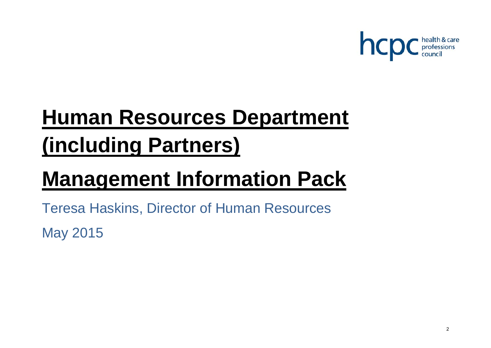

# **Human Resources Department (including Partners)**

## **Management Information Pack**

Teresa Haskins, Director of Human Resources May 2015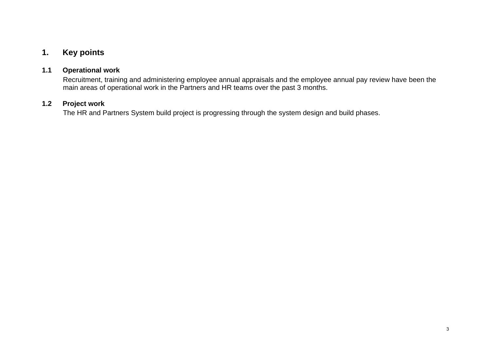## **1. Key points**

#### **1.1 Operational work**

Recruitment, training and administering employee annual appraisals and the employee annual pay review have been the main areas of operational work in the Partners and HR teams over the past 3 months.

#### **1.2 Project work**

The HR and Partners System build project is progressing through the system design and build phases.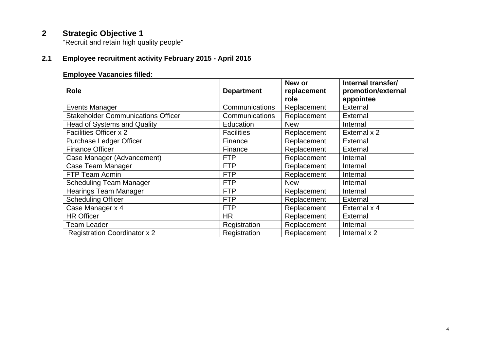## **2 Strategic Objective 1**

"Recruit and retain high quality people"

## **2.1 Employee recruitment activity February 2015 - April 2015**

#### **Employee Vacancies filled:**

| <b>Role</b>                               | <b>Department</b> | New or<br>replacement<br>role | Internal transfer/<br>promotion/external<br>appointee |
|-------------------------------------------|-------------------|-------------------------------|-------------------------------------------------------|
| Events Manager                            | Communications    | Replacement                   | External                                              |
| <b>Stakeholder Communications Officer</b> | Communications    | Replacement                   | External                                              |
| <b>Head of Systems and Quality</b>        | Education         | <b>New</b>                    | Internal                                              |
| Facilities Officer x 2                    | <b>Facilities</b> | Replacement                   | External x 2                                          |
| <b>Purchase Ledger Officer</b>            | Finance           | Replacement                   | External                                              |
| <b>Finance Officer</b>                    | Finance           | Replacement                   | External                                              |
| Case Manager (Advancement)                | <b>FTP</b>        | Replacement                   | Internal                                              |
| Case Team Manager                         | <b>FTP</b>        | Replacement                   | Internal                                              |
| FTP Team Admin                            | <b>FTP</b>        | Replacement                   | Internal                                              |
| <b>Scheduling Team Manager</b>            | <b>FTP</b>        | <b>New</b>                    | Internal                                              |
| <b>Hearings Team Manager</b>              | <b>FTP</b>        | Replacement                   | Internal                                              |
| <b>Scheduling Officer</b>                 | <b>FTP</b>        | Replacement                   | External                                              |
| Case Manager x 4                          | <b>FTP</b>        | Replacement                   | External x 4                                          |
| <b>HR Officer</b>                         | <b>HR</b>         | Replacement                   | External                                              |
| Team Leader                               | Registration      | Replacement                   | Internal                                              |
| <b>Registration Coordinator x 2</b>       | Registration      | Replacement                   | Internal x 2                                          |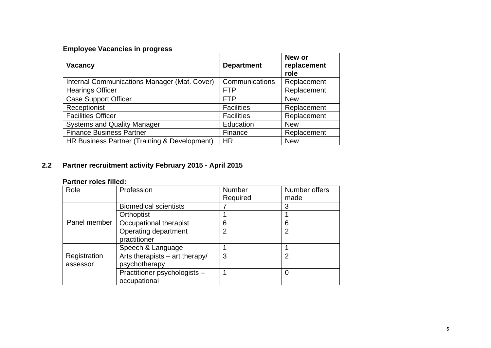## **Employee Vacancies in progress**

| <b>Vacancy</b>                               | <b>Department</b> | New or<br>replacement<br>role |
|----------------------------------------------|-------------------|-------------------------------|
| Internal Communications Manager (Mat. Cover) | Communications    | Replacement                   |
| <b>Hearings Officer</b>                      | <b>FTP</b>        | Replacement                   |
| <b>Case Support Officer</b>                  | <b>FTP</b>        | <b>New</b>                    |
| Receptionist                                 | <b>Facilities</b> | Replacement                   |
| <b>Facilities Officer</b>                    | <b>Facilities</b> | Replacement                   |
| <b>Systems and Quality Manager</b>           | Education         | <b>New</b>                    |
| <b>Finance Business Partner</b>              | Finance           | Replacement                   |
| HR Business Partner (Training & Development) | <b>HR</b>         | <b>New</b>                    |

## **2.2 Partner recruitment activity February 2015 - April 2015**

#### **Partner roles filled:**

| Role         | Profession                       | Number         | Number offers  |
|--------------|----------------------------------|----------------|----------------|
|              |                                  | Required       | made           |
|              | <b>Biomedical scientists</b>     |                | 3              |
|              | Orthoptist                       |                |                |
| Panel member | Occupational therapist           | 6              | 6              |
|              | Operating department             | $\overline{2}$ | $\overline{2}$ |
|              | practitioner                     |                |                |
|              | Speech & Language                |                |                |
| Registration | Arts therapists $-$ art therapy/ | 3              | 2              |
| assessor     | psychotherapy                    |                |                |
|              | Practitioner psychologists -     |                | 0              |
|              | occupational                     |                |                |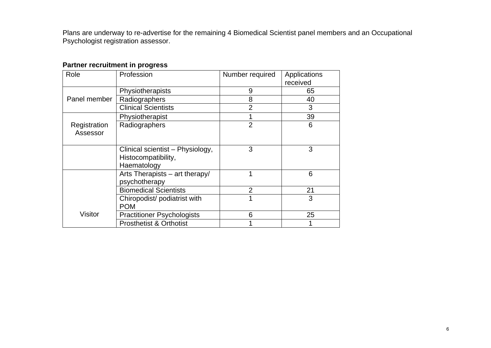Plans are underway to re-advertise for the remaining 4 Biomedical Scientist panel members and an Occupational Psychologist registration assessor.

## **Partner recruitment in progress**

| Role                     | Profession                                                             | Number required | Applications<br>received |
|--------------------------|------------------------------------------------------------------------|-----------------|--------------------------|
|                          | Physiotherapists                                                       | 9               | 65                       |
| Panel member             | Radiographers                                                          | 8               | 40                       |
|                          | <b>Clinical Scientists</b>                                             | $\overline{2}$  | 3                        |
|                          | Physiotherapist                                                        |                 | 39                       |
| Registration<br>Assessor | Radiographers                                                          | $\overline{2}$  | 6                        |
|                          | Clinical scientist - Physiology,<br>Histocompatibility,<br>Haematology | 3               | 3                        |
|                          | Arts Therapists – art therapy/<br>psychotherapy                        |                 | 6                        |
|                          | <b>Biomedical Scientists</b>                                           | $\overline{2}$  | 21                       |
|                          | Chiropodist/podiatrist with<br><b>POM</b>                              |                 | 3                        |
| Visitor                  | <b>Practitioner Psychologists</b>                                      | 6               | 25                       |
|                          | <b>Prosthetist &amp; Orthotist</b>                                     |                 |                          |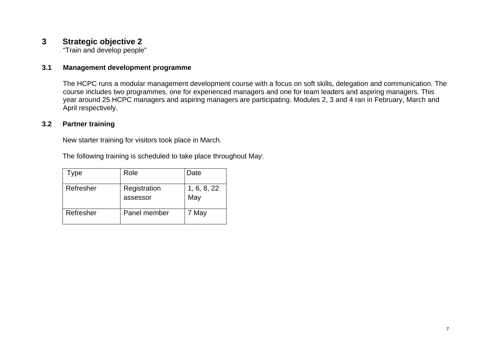## **3 Strategic objective 2**

"Train and develop people"

#### **3.1 Management development programme**

The HCPC runs a modular management development course with a focus on soft skills, delegation and communication. The course includes two programmes, one for experienced managers and one for team leaders and aspiring managers. This year around 25 HCPC managers and aspiring managers are participating. Modules 2, 3 and 4 ran in February, March and April respectively.

#### **3.2 Partner training**

New starter training for visitors took place in March.

The following training is scheduled to take place throughout May:

| Гуре      | Role                     | Date               |
|-----------|--------------------------|--------------------|
| Refresher | Registration<br>assessor | 1, 6, 8, 22<br>May |
| Refresher | Panel member             | 7 May              |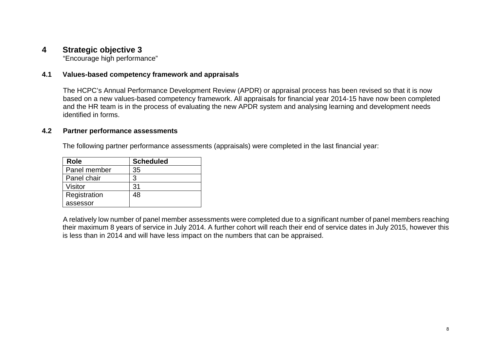## **4 Strategic objective 3**

"Encourage high performance"

#### **4.1 Values-based competency framework and appraisals**

The HCPC's Annual Performance Development Review (APDR) or appraisal process has been revised so that it is now based on a new values-based competency framework. All appraisals for financial year 2014-15 have now been completed and the HR team is in the process of evaluating the new APDR system and analysing learning and development needs identified in forms.

#### **4.2 Partner performance assessments**

The following partner performance assessments (appraisals) were completed in the last financial year:

| <b>Role</b>  | <b>Scheduled</b> |
|--------------|------------------|
| Panel member | 35               |
| Panel chair  | 3                |
| Visitor      | 31               |
| Registration | 48               |
| assessor     |                  |

A relatively low number of panel member assessments were completed due to a significant number of panel members reaching their maximum 8 years of service in July 2014. A further cohort will reach their end of service dates in July 2015, however this is less than in 2014 and will have less impact on the numbers that can be appraised.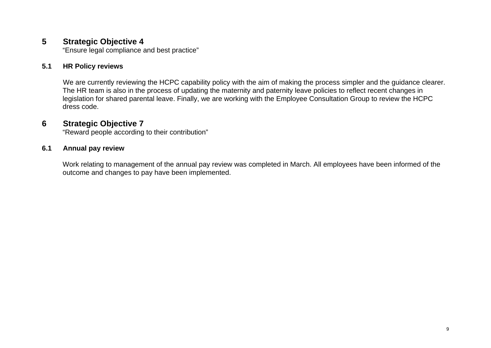## **5 Strategic Objective 4**

"Ensure legal compliance and best practice"

#### **5.1 HR Policy reviews**

We are currently reviewing the HCPC capability policy with the aim of making the process simpler and the guidance clearer. The HR team is also in the process of updating the maternity and paternity leave policies to reflect recent changes in legislation for shared parental leave. Finally, we are working with the Employee Consultation Group to review the HCPC dress code.

## **6 Strategic Objective 7**

"Reward people according to their contribution"

#### **6.1 Annual pay review**

Work relating to management of the annual pay review was completed in March. All employees have been informed of the outcome and changes to pay have been implemented.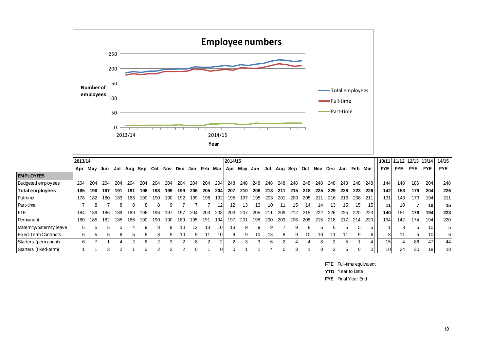

|                             | 2013/14 |     |     |     |     |                 |     |     |     |                 |     |                 | 2014/15 |             |     |     |                 |     |     |      |     |     |                      |             | 10/11   11/12   12/13   13/14 |                  |       |                  | 14/15      |
|-----------------------------|---------|-----|-----|-----|-----|-----------------|-----|-----|-----|-----------------|-----|-----------------|---------|-------------|-----|-----|-----------------|-----|-----|------|-----|-----|----------------------|-------------|-------------------------------|------------------|-------|------------------|------------|
|                             | Apr     | Mav | Jun |     |     | Jul Aug Sep Oct |     | Nov |     | Dec Jan Feb Mar |     |                 |         | Apr May Jun |     |     | Jul Aug Sep Oct |     |     |      |     |     | Nov Dec Jan Feb Marl |             | <b>FYE</b>                    | FYE I            | FYE   | <b>FYE</b>       | <b>FYE</b> |
| <b>EMPLOYEES</b>            |         |     |     |     |     |                 |     |     |     |                 |     |                 |         |             |     |     |                 |     |     |      |     |     |                      |             |                               |                  |       |                  |            |
| <b>Budgeted employees</b>   | 204     | 204 | 204 | 204 | 204 |                 |     | 204 | 204 | 204             | 204 | 204             | 248     | 248         | 248 | 248 | 248             | 248 | 248 | 248  | 248 | 248 | 248                  | 248 l       | 144                           | 148 <sub>1</sub> | 186   | 204              | 248        |
| Total employees             | 185     | 190 | 187 | 191 | 191 | 198             |     | 199 | 199 | 206             | 205 | 204             | 207     | 210         | 208 | 213 | -211            | 215 | 218 | 225  | 229 | 228 | 223                  | <b>2261</b> | 142                           | 153              | 179 l | 204              | 226        |
| Full-time                   | 178     | 182 | 180 | 183 | 183 | 190             | 190 | 190 | 192 | 199             | 198 | 192             | 195     | 197         | 195 | 203 | 201             | 200 | 205 | -211 | 216 | 213 | 208                  | <b>211</b>  | 131                           | 143              | 173   | 194 <sub>1</sub> | 211        |
| Part-time                   |         |     |     |     |     | 8               | 8   |     |     |                 |     | 12 <sup>1</sup> | 12      | 13          | 13  | 10  |                 | l5  | 14  | 14   | 13  | 15  | 15                   | 15I         | 11                            | 10I              |       | 10 <sup>1</sup>  | 15         |
| <b>FTE</b>                  | 184     | 189 | 186 | 189 | 189 | 196             | 96  | 197 | 197 | 204             | 203 | 203             | 203     | 207         | 205 | 21٬ | 209             | 212 |     | 222  | 226 | 225 | 220                  | <b>223</b>  | 140 l                         | 151              | 178I  | 194              | 223        |
| Permanent                   | 180     | 185 | 182 | 185 | 186 | 190             |     | 190 | 189 | 195             | 191 | 194             | 197     | 201         | 198 | 200 | 203             | 206 | 208 | 215  | 218 | 217 | 214                  | <b>220</b>  | 134                           | 142              | 174   | 194              | 220        |
| Maternity/paternity leave   | 6       |     |     |     |     | a               | 8   |     |     |                 | 13  | 10 <sub>1</sub> | 13      |             |     |     |                 |     |     | 6    |     |     |                      |             |                               |                  |       | 10               | 5          |
| <b>Fixed-Term Contracts</b> | 5       |     |     |     |     | 8               | 8   |     |     |                 |     | 10 <sub>1</sub> |         |             | 10  |     |                 |     | 10  | 10   |     |     |                      | 61          | 81                            | 11 <sub>1</sub>  |       | 10 <sub>1</sub>  | 6          |
| Starters (permanent)        | 6       |     |     |     |     | 8               |     |     |     |                 |     |                 |         |             |     |     |                 |     |     |      |     |     |                      |             | 15 I                          |                  | 86    | 47               | 44         |
| Starters (fixed-term)       |         |     |     |     |     |                 |     |     |     |                 |     |                 |         |             |     |     |                 |     |     |      |     |     |                      |             | 10 <sup>1</sup>               | 24               | 30 I  |                  | 18         |

**FTE** Full-time equivalent

**YTD** Year to Date

**FYE** Final Year End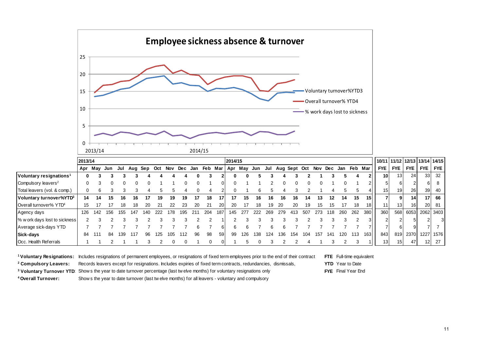

|                                     | 2013/14 |     |     |     |             |     |     |     |     |     |         |     | 2014/15 |             |     |     |     |              |     |         |     |     |             |                  |                 |                 | 10/11 11/12 12/13 13/14 14/15 |                 |            |
|-------------------------------------|---------|-----|-----|-----|-------------|-----|-----|-----|-----|-----|---------|-----|---------|-------------|-----|-----|-----|--------------|-----|---------|-----|-----|-------------|------------------|-----------------|-----------------|-------------------------------|-----------------|------------|
|                                     | Apr     | Mav | Jun | Jul | Aug Sep Oct |     |     | Nov | Dec | Jan | Feb Mar |     |         | Apr May Jun |     | Jul |     | Aug Sept Oct |     | Nov Dec |     |     | Jan Feb Mar |                  | <b>FYE</b>      | <b>FYE</b>      | <b>FYE</b>                    | <b>FYE</b>      | <b>FYE</b> |
| Voluntary resignations <sup>1</sup> | 0       |     |     |     |             |     |     |     |     |     |         |     | 0       | 0           |     |     |     |              |     |         |     |     |             |                  | 10I             | 13 <sub>l</sub> | 24                            | 33 <sup>1</sup> | -32        |
| Compulsory leavers <sup>2</sup>     | 0       |     |     |     |             |     |     |     |     |     |         | ΩI  | 0       |             |     |     |     |              |     |         |     |     |             |                  |                 |                 |                               | 61              |            |
| Total leavers (vol. & comp.)        |         | 6   |     |     |             |     |     |     |     |     |         |     | 0       |             | 6   |     |     |              |     |         |     |     |             |                  | 15 <sub>1</sub> | 19              | 26                            | 39 <sup>°</sup> | 40         |
| Voluntary turnover%YTD3             | 14      | 14  | 15  | 16  | 16          |     | 19  | 19  | 19  |     | 18      | 17  | 17      | 15          | 16  | 16  | 16  | 16           | 14  | 13      | 12  | 14  | 15          | 151              |                 |                 | 14                            | 17 <sup>1</sup> | 66         |
| Overall turnover% YTD <sup>4</sup>  | 15      |     |     |     |             | 20  | 21  | 22  | 23  | 20  | 21      | 20I | 20      |             | 18  | 19  | 20  | 20           | 19. | 15      | 15  |     | 18          | 18I              | 11              | 13              | 16                            |                 | 20 81      |
| Agency days                         | 126     | 142 | 156 | 155 | 147         | 140 | 222 | 178 | 195 | 211 | 204     | 187 | 145     | 277         | 222 | 269 | 279 | -413         | 507 | 273     | 118 | 260 | 262         | 380              | 360             | 568             | 6053                          |                 | 2062 3403  |
| % w ork days lost to sickness       |         |     |     |     |             |     |     |     |     |     |         |     |         |             |     |     |     |              |     |         |     |     |             |                  |                 |                 |                               |                 |            |
| Average sick-days YTD               |         |     |     |     |             |     |     |     |     |     |         | 61  | 6       | 6           |     |     |     |              |     |         |     |     |             |                  |                 | 6               |                               |                 |            |
| Sick-days                           | 84      | 111 | 84  | 139 | 117         | 96  | 125 | 105 | 112 | 96  | 98      | 59  | 99      | 126         | 138 | 124 | 136 | 154          | 104 | 157     | 141 | 120 | 113         | 163 <sup>1</sup> | 843             | 819             | 2370                          |                 | 1227 1576  |
| Occ. Health Referrals               |         |     |     |     |             |     |     |     |     |     |         |     |         |             |     |     |     |              |     |         |     |     |             |                  | 13 <sub>l</sub> | 15 <sup>1</sup> | 47                            | 12              | - 27       |

**1 Voluntary Resignations:** Includes resignations of permanent employees, or resignations of fixed term employees prior to the end of their contract **FTE** Full-time equivalent

**2 Compulsory Leavers:** Records leavers except for resignations. Includes expiries of fixed term contracts, redundancies, dismissals, **YTD** Year to Date

<sup>3</sup> Voluntary Turnover YTD: Show s the year to date turnover percentage (last tw elve months) for voluntary resignations only **FYE** Final Year End

**4 Overall Turnover:** Show s the year to date turnover (last tw elve months) for all leavers - voluntary and compulsory

11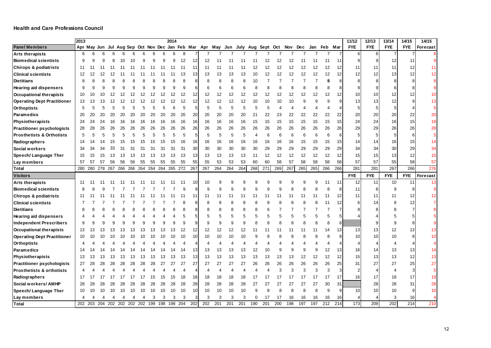|                                      | 2013           |     |                             |     |    |                             |    |    |     | 2014 |     |                 |                                                         |     |     |          |                  |          |     |     |     |     |     |     | 11/12      | 12/13      | 13/14          | 14/15          | 14/15      |
|--------------------------------------|----------------|-----|-----------------------------|-----|----|-----------------------------|----|----|-----|------|-----|-----------------|---------------------------------------------------------|-----|-----|----------|------------------|----------|-----|-----|-----|-----|-----|-----|------------|------------|----------------|----------------|------------|
| <b>Panel Members</b>                 |                |     |                             |     |    |                             |    |    |     |      |     |                 | Apr May Jun Jul Aug Sep Oct Nov Dec Jan Feb Mar Apr May |     | Jun | July Aug |                  | Sept Oct |     | Nov | Dec | Jan | Feb | Mar | <b>FYE</b> | <b>FYE</b> | <b>FYE</b>     | <b>FYE</b>     | Forecast   |
| Arts therapists                      | 6              | 6   | 6                           |     |    |                             |    |    |     |      | 8   |                 |                                                         |     |     |          |                  |          |     |     |     |     |     | 7   | $6 \mid$   | 6          | $\overline{7}$ | $\overline{7}$ |            |
| <b>Biomedical scientists</b>         | 9              | 9   | 9                           | 8   | 10 | 10                          | 9  |    |     | 9    | 12  | 12              | 12                                                      |     |     |          | 11               | 12       | 12  | 12  | 11  | 11  | 11  | 11  | 9          | 9          | 12             | 11             |            |
| <b>Chirops &amp; podiatrists</b>     | 11             | 11  |                             | 11  |    | 11                          |    | 11 | 11  | -11  | -11 | 11              | 11                                                      | 11  | 11  |          | 12               | 12       | 12  | 12  | 12  | 12  | 12  | 12  | 11         | 11         | 11             | 12             | 11         |
| <b>Clinical scientists</b>           | 12             | 12  | 2                           |     |    |                             |    |    |     |      | 13  | 13              | 13                                                      | 13  | 13  | 13       | 10               | 12       | 12  | 12  | 12  | 12  | 12  | 12  | 12         | 12         | 13             | 12             | 12         |
| <b>Dietitians</b>                    | 8              |     |                             |     |    |                             |    |    |     |      | 8   |                 | 8                                                       | 8   | 8   | 8        | 10               | 7        |     | 7   |     |     | 8   |     |            | 8          |                |                |            |
| <b>Hearing aid dispensers</b>        | 9              | 9   | 9                           | q   | q  |                             | 9  |    |     |      | q   |                 | 6                                                       | 6   | 6   | 6        | 8                | 8        | 8   | 8   |     |     |     |     |            |            |                |                |            |
| <b>Occupational therapists</b>       | 10             | 10  | 10                          | 12  |    |                             | 12 |    | 12  |      | 12  | 12              | 12                                                      | 12  | 12  | 12       | 12               | 12       | 12  | 12  | 12  | 12  | 12  | 12  | 10         | 10         |                | 12             | 10         |
| <b>Operating Dept Practitioner</b>   | 13             | 13  | Ι3                          |     |    |                             | 12 |    | 12  |      | 12  | 12              | 12                                                      | 12  | 12  | 12       | 10               | 10       | 10  | 10  |     | ġ   | q   |     | 13         | 13         | 12             | 9              | 13         |
| Orthoptists                          | 5              | 5   | 5                           | 5   | 5  |                             | 5  |    | 5   |      | 5   |                 | 5                                                       | 5   | 5   | 5        | 5                | 5        | 4   | 4   |     |     |     |     |            |            |                |                | 5          |
| Paramedics                           | 20             | 20  | 20                          | 20  |    | 20                          | 20 | 20 | 20  | 20   | 20  | 20              | 20                                                      | 20  | 20  | 20       | 21               | 22       | 23  | 22  | 22  | 22  | 22  | 22  | 20         | 20         | 20             | 22             | 20         |
| Physiotherapists                     | 24             | 24  | 24                          | 16  | 16 | 16                          | 16 | 16 | 16  | 16   | 16  | 16              | 16                                                      | 16  | 16  | 16       | 15               | 15       | 15  | 15  | 15  | 15  | 15  | 15  | 24         | 24         | 16             | 15             | 18         |
| <b>Practitioner psychologists</b>    | 28             | 28  | 26                          | 26  | 26 | 26                          | 26 | 26 | 26  | 26   | 26  | 26              | 26                                                      | 26  | 26  | 26       | 26               | 26       | 26  | 26  | 26  | 26  | 26  | 26  | 29         | 29         | 26             | 26             | 28         |
| <b>Prosthetists &amp; Orthotists</b> | 5              |     | 5                           |     |    |                             |    |    |     |      | 5   | 5               | 5                                                       | 5   | 5   | 5        | $\boldsymbol{4}$ | 6        | 6   | 6   | 6   | 6   | 6   | 6   |            | 5          |                | 6              | $\sqrt{5}$ |
| Radiographers                        | 14             | 14  | 14                          | 15  | 15 | 15                          | 15 | 15 | 15  |      | 16  | 16              | 16                                                      | 16  | 16  | 16       | 16               | 16       | 16  | 16  | 15  | 15  | 15  | 15  | 14         | 14         | 16             | 15             | 14         |
| Social workers                       | 34             | 34  | 34                          | 33  |    | 3.                          | 3. | 3. | 31  | 3    | 31  | 30 <sub>0</sub> | 30                                                      | 30  | 30  | 30       | 30               | 29       | 29  | 29  | 29  | 29  | 29  | 29  | 34         | 34         | 30             | 29             | 34         |
| Speech/ Language Ther                | 15             | 15  | 15                          | 13  | 13 | 13                          | 13 | 13 | 13  | 13   | 13  | 13              | 13                                                      | 13  | 13  | 13       | 11               | 12       | 12  | 12  | 12  | 12  | 12  | 12  | 15         | 15         | 13             | 12             | 15         |
| Lay members                          | 57             | 57  | 57                          | 56  | 56 | 56                          | 55 | 55 | 55  | 55   | 55  | 55              | 55                                                      | 53  | 53  | 53       | 60               | 60       | 58  | 57  | 58  | 58  | 58  | 58  | 57         | 57         | 55             | 58             | 57         |
| Total                                | 280            | 280 | 278                         | 267 |    | 266 266 264 264 264 265 272 |    |    |     |      |     | 267             | 267                                                     | 264 | 264 | 264      | 268              | 271      | 269 | 267 | 265 | 265 | 266 | 266 | 281        | 281        | 267            | 266            | 276        |
| Visitors                             |                |     |                             |     |    |                             |    |    |     |      |     |                 |                                                         |     |     |          |                  |          |     |     |     |     |     |     | <b>FYE</b> | <b>FYE</b> | <b>FYE</b>     | <b>FYE</b>     | Forecast   |
| <b>Arts therapists</b>               | 11             |     |                             |     |    |                             |    |    |     |      |     | 10              | 10                                                      | 9   |     |          |                  |          |     |     |     |     | 11  | 11  | 12         | 11         | 10             | 11             | 13         |
| <b>Biomedical scientists</b>         | 8              |     |                             |     |    |                             |    |    |     |      |     |                 | 9                                                       | 9   |     | g        |                  | 9        | 9   | 8   |     |     | 8   | 8   | 11         | 8          |                |                |            |
| Chirops & podiatrists                | 11             |     |                             |     |    |                             |    |    |     |      |     | 11              | 11                                                      | 11  | 11  | 11       | 11               | 11       | 11  | 11  | 11  | 11  | 11  | 12  | 11         | 11         | 11             | 12             | 12         |
| <b>Clinical scientists</b>           |                |     |                             |     |    |                             |    |    |     |      |     |                 | 8                                                       | 8   |     | 8        |                  | 8        | 8   | 8   | Я   | 8   | 11  | 12  |            | 14         |                | 12             |            |
| <b>Dietitians</b>                    | 8              |     |                             |     |    |                             |    |    |     |      |     |                 |                                                         |     |     |          |                  | 6        |     |     |     |     |     |     |            |            |                |                |            |
| <b>Hearing aid dispensers</b>        |                |     |                             |     |    |                             |    |    |     |      |     |                 |                                                         | 5   |     | 5        |                  | 5        | 5   | 5   |     |     | 5   | 5   |            |            |                |                |            |
| Independent Prescribers              | 9              | c   | g                           |     |    |                             |    |    |     |      |     |                 | 9                                                       | 9   |     | g        |                  | 8        | 8   | 8   |     | 8   | 8   | 8   |            |            |                |                |            |
| <b>Occupational therapists</b>       | 13             | 13  | l3                          | 13  |    |                             |    |    | 13  |      | 12  | 12              | 12                                                      | 12  | 12  | 12       | 11               | 11       |     | 11  | 11  | 11  | 14  | 13  | 13         | 13         | 12             | 13             | 13         |
| <b>Operating Dept Practitioner</b>   | 10             |     |                             |     |    |                             |    |    |     |      | 10  | 10              | 10                                                      | 10  | 10  | 10       |                  | 8        | 8   |     |     |     | 8   |     | 10         | 10         | 10             | 8              | 10         |
| Orthoptists                          |                |     |                             |     |    |                             |    |    |     |      |     |                 |                                                         |     |     |          |                  |          |     |     |     |     |     |     |            |            |                |                |            |
| Paramedics                           | 14             | 14  |                             |     |    |                             |    |    |     |      | 14  | 13              | 13                                                      | 13  | 13  | 13       | 12               | 10       | 9   | 9   | 9   | 9   | 12  | 13  | 16         | 14         | 13             | 13             | 14         |
| Physiotherapists                     | 13             | 13  | 13                          | 13  | 13 | 13                          | 13 | 13 | 13  |      | 13  | 13              | 13                                                      | 13  | 13  | 13       | 13               | 13       | 13  | 13  | 12  | 12  | 12  | 12  | 15         | 13         | 13             | 12             | 13         |
| <b>Practitioner psychologists</b>    | 27             | 28  | 28                          | 28  |    | 28                          | 28 | 28 |     | 27   | 27  | 27              | 27                                                      | 27  | 27  | 27       | 26               | 26       | 26  | 26  | 26  | 26  | 26  | 25  | 31         | 27         | 27             | 25             | 27         |
| <b>Prosthetists &amp; orthotists</b> | $\overline{4}$ |     |                             |     |    |                             |    |    |     |      |     |                 | 4                                                       | 4   |     |          |                  | 4        | 3   | 3   | 3   | 3   | 3   | 3   |            |            |                | 3              | 5          |
| Radiographers                        | 17             | 17  | 17                          | 17  |    | 17                          |    | 15 | 15  | 15   | 18  | 18              | 18                                                      | 18  | 18  | 18       | 17               | 17       | 17  | 17  | 17  | 17  | 17  | 17  | 16         | 17         | 18             | 17             | 19         |
| Social workers/ AMHP                 | 28             | 28  | 28                          | 28  | 28 | 28                          | 28 | 28 | 28  | 28   | 28  | 28              | 28                                                      | 28  | 28  | 28       | 27               | 27       | 27  | 27  | 27  | 27  | 30  | 31  |            | 28         | 28             | 31             | 28         |
| Speech/ Language Ther                | 10             | 10  | 10                          | 10  | 10 | 10                          | 10 | 10 | 10  | 10   | 10  | 10              | 10                                                      | 10  | 10  | 10       | 9                | 8        | 8   | 8   | 8   | 8   | 9   |     | 10         | 10         | 10             | 9              | 10         |
| Lay members                          | $\overline{4}$ |     | 4                           | 4   | 4  |                             | 4  | 3  | 3   | 3    | 3   |                 | 3                                                       | 3   | 3   | 3        | $\Omega$         | 17       | 17  | 16  | 16  | 16  | 16  | 16  |            |            | 3              | 16             |            |
| <b>Total</b>                         | 202            |     | 203 204 202 202 202 202 199 |     |    |                             |    |    | 198 | 198  | 204 | 202             | 202                                                     | 201 | 201 | 201      | 190              | 201      | 200 | 198 | 197 | 197 | 212 | 214 | 173        | 209        | 202            | 214            | 210        |